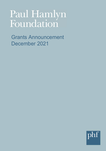# Paul Hamlyn Foundation

Grants Announcement December 2021

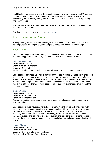Paul Hamlyn Foundation is one of the largest independent grant-makers in the UK. We use our resources to support social change, working towards a just and equitable society in which everyone, especially young people, can realise their full potential and enjoy fulfilling and creative lives.

The 139 grants described here have been awarded between October and December 2021 and total over £11.4 million.

Details of all grants are available in our [grants database.](https://www.phf.org.uk/grants/)

# Investing in Young People

We support organisations at different stages of development to improve, consolidate and spread practices that empower young people to shape their lives and lead change.

## Youth Fund

Our Youth Fund provides core funding to organisations whose main purpose is working with and for young people (aged 14-25) who face complex transitions to adulthood.

#### **[Hot Chocolate Trust](http://www.hotchocolate.org.uk/)**

**Grant amount:** £90,000 **Grant duration:** 36 months **Location:** Scotland **Project:** Growing impact: Youth voice, specialist youth work, and sharing learning

**Description:** Hot Chocolate Trust is a large youth centre in central Dundee. They offer open access drop-in sessions, tailored one-to-one and group support, and programmes focused around the arts and youth leadership. This grant supports Hot Chocolate Trust to increase the breadth and depth of their mental health, homelessness and creative arts offers. They also aim to influence the wider youth sector through the development and promotion of their outcomes database.

#### **[Include Youth](http://www.includeyouth.org/)**

**Grant amount:** £90,000 **Grant duration:** 36 months **Location:** Northern Ireland **Project:** Embedding care-experienced young people's participation and engagement in Northern Ireland

**Description:** Include Youth is a rights based charity in Northern Ireland. They work with young people with experience of care from communities with high levels of socio-economic deprivation, or whose rights are not being met. This grant supports Include Youth's policy, advocacy and communications work. Specifically, Include Youth will provide increased guidance, support and training to external organisations, and continue to champion young people's rights and voices in response to ongoing challenges, including the pandemic and Brexit.

#### **[Link to Change](http://www.linktochange.org.uk/)**

**Grant amount:** £90,000 **Grant duration:** 36 months **Location:** East of England**,** East Midlands **Project:** Link to Change: Strategic development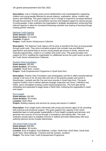**Description:** Link to Change works across Bedfordshire and Cambridgeshire supporting children and young people affected by sexual violence, exploitation, abuse, modern day slavery and trafficking. This grant supports Link to Change to respond to increased demand through the provision of more preventative services and targeted support for diverse groups of young people. It also underpins the organisation's strategic development, enhancing their internal capacity to allow for increased fundraising activities and sharing of learning through existing partner networks.

#### **[National Youth Agency](https://nya.org.uk/)**

**Grant amount:** £60,000 **Grant duration:** 24 months **Location:** England **Project:** Youth Sector Infrastructure Collective

**Description:** The National Youth Agency (NYA) aims to transform the lives of young people through youth work. They drive innovative projects that consider new and different approaches and partnerships to ensure young people get access to timely, relevant and impactful opportunities, rooted in co-creation and youth voice. This grant provides core support for NYA, enabling the organisation to collaborate across the youth sector as part of the Youth Sector Infrastructure Collective.

#### **[Positive View Foundation](http://www.positiveview.org.uk/)**

**Grant amount:** £90,000 **Grant duration:** 36 months **Location:** South East**,** London **Project:** Youth Empowerment Programme in South East Kent

**Description:** Positive View Foundation uses photography and film to affect transformational change in the lives of 16–25-year-olds who live on the poorest estates and wards in Westminster, Lambeth and the City and most recently in South East Kent. This grant supports Positive View to deliver planned strategic expansion into Dover, Folkstone and Hythe, and to strengthen existing London-based programmes. The Kent pilot will be embedded and expanded to target areas in North Kent, furthering the organisation's reach and impact.

#### **[Pure Insight](http://www.pure-insight.org.uk/)**

**Grant amount:** £90,000 **Grant duration:** 36 months **Location:** North West **Project:** Building capacity and services for young care leavers in Salford

**Description:** Pure Insight works intensively with young care leavers aged 16-28, providing both practical and emotional support. This grant supports the capacity of the senior leadership team to build greater sustainability in Pure Insight's projects and services, and generate new sources of income through a consultancy and training offer. This work underpins priority plans to establish services in Salford and build relationships with local authority partners across Greater Manchester.

#### **[The Anne Frank Trust UK](http://www.annefrank.org.uk/)**

**Grant amount:** £90,000 **Grant duration:** 36 months **Location:** East of England, East Midlands, London, North East, North West, South East, South West, West Midlands, Yorkshire and the Humber, Scotland **Project:** The Anne Frank Youth Empowerment Programme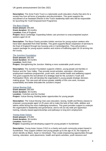**Description:** The Anne Frank Trust is a nationwide youth education charity that aims for a society free from all forms of prejudice and discrimination. This grant supports the recruitment of an Assistant Director to the Trust's leadership team who will be responsible for launching the Youth Empowerment Programme.

#### **[The Baca Charity](http://www.bacacharity.org.uk/)**

**Grant amount:** £90,000 **Grant duration:** 36 months **Location:** East of England **Project:** Baca Cambridge: Expanding holistic care provision to unaccompanied asylum seekers aged 16-19

**Description:** The Baca Charity provides holistic services for young asylum seekers who have been separated from their families. This grant supports Baca's expansion of services to the East of England through two housing units in Cambridgeshire. They will provide a support package for young asylum seekers and victims of trafficking aged 16-19 arriving into the county.

#### **[The Junction Foundation](http://www.thejunctionfoundation.com/)**

**Grant amount:** £90,000 **Grant duration:** 36 months **Location:** North East **Project:** Strengthening the Junction: Making a more sustainable youth service

**Description:** The Junction Foundation supports children, young people and families in Redcar and the Tees Valley. They provide social activities, education, information, employment readiness programmes, youth work, and mental health and wellbeing support. This grant supports the recruitment of a strategic lead for the Junction's Youth and Participation Work, who will develop the organisation's young people strategic decisionmaking group. This new post will ensure greater stability of this core work, increase sustainability and better articulate the Junction's impact.

#### **[Vulcan Boxing Club](http://www.vulcancentre.co.uk/)**

**Grant amount:** £90,000 **Grant duration:** 36 months **Location:** Yorkshire and the Humber **Project:** Vulcan Boxing: Building better opportunities for young people

**Description:** The Vulcan Boxing Club uses education, boxing, health and fitness classes to empower young people aged 14-25 years old to make the best of their skills, abilities and talents whilst facing the most challenging transitions. This grant provides support to underpin the organisation's leadership and governance, and to roll out city-wide pre-apprentice training, industry-based apprenticeships and pathways to long term employment.

#### **[Young Asian Voices](http://www.youngasianvoices.co.uk/)**

**Grant amount:** £75,000 **Grant duration:** 36 months **Location:** North East **Project:** Expanding and developing support for young people in Sunderland

**Description:** Young Asian Voices (YAV) is a charity and youth community project based in Sunderland. They support children and young people up to the age of 25, the majority of whom identify as Black, Asian or minoritised. They create empowering opportunities through training, education, work placements, health and sports activities, youth sessions and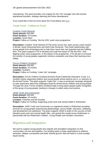volunteering. This grant provides core support for the YAV manager who will oversee operational activities, strategic planning and future development.

If you would like to find out more about this Fund please see [here.](https://www.phf.org.uk/funds/youth-fund/)

# Youth Fund – Follow-on Fund

**[Creative Youth Network](http://www.creativeyouthnetwork.org.uk/)**

**Grant amount:** £60,000 **Grant duration:** 24 months **Location:** South West **Project:** Follow on Funding: 'We the 33%' youth voice programme

**Description:** Creative Youth Network (CYN) works across four open access youth centres in Bristol, South Gloucestershire and North East Somerset. They build relationships with young people from all backgrounds to help them reach their own potential and live fulfilling lives. This grant supports CYN to develop and scale the impact of 'We the 33%', their flagship youth voice programme. In this phase of the programme, CYN will aim to increase the number of young people supported, enhance evaluation and share their learning more widely.

#### **[Forces Children Scotland](https://www.rcet.org.uk/)**

**Grant amount:** £60,000 **Grant duration:** 24 months **Location:** Scotland **Project:** Follow on Funding: 'Listen Up!' campaign

**Description:** Forces Children Scotland (formerly Royal Caledonian Education Trust), is a Scottish charity supporting children and young people whose parents are in, or veterans of, the Armed Forces. This grant supports 'Listen Up!', a new co-produced campaign designed to raise awareness about the challenges faced by armed forces children and young people. Through this work, Forces Children Scotland hope to bring about greater public recognition of this group of young people, leading to changes in public policy and practice.

#### **[JADE Youth and](https://jadeyouthandcommunity.co.uk/) Community**

**Grant amount:** £60,000 **Grant duration:** 24 months **Location:** Yorkshire and the Humber **Project:** Follow on Funding: Supporting youth work and mental health in Rotherham

**Description:** JADE Youth and Community is a registered charity in Rotherham providing services for young people experiencing disadvantage, across health, education, wellbeing and development into adulthood. This grant supports JADE to build on the success of their blended youth work and mental health offer, and spread this model across Rotherham in partnership with the Rotherham Children, Young People and Families Consortium.

# Migration and Integration

We want to support young people who migrate and strengthen integration so that communities can live well together. Our funding seeks to help organisations to address exclusion, deepen connections and build 'shared ground' that can lead to a more socially equal society.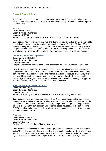# Shared Ground Fund

The Shared Ground Fund supports organisations working to influence migration system reform, improve access to support services, strengthen civic participation and inform public understanding.

#### **[Asylos](http://www.asylos.eu/)**

**Grant amount:** £210,000 **Grant duration:** 36 months **Location:** UK Wide **Project:** Building a UK Centre of Excellence on Country of Origin Information

**Description:** Asylos is a charity that works to deliver the just protection of law to vulnerable people fleeing persecution. It does this by producing impartial Country of Origin (COI) reports used by legal counsel, asylum courts, decision-making officials and policy makers in refugee host countries. This grant supports Asylos in becoming the UK Centre of Excellence in producing fair, impartial COI reports to inform asylum decisions and policy direction.

#### **[Center for Countering Digital Hate](http://www.counterhate.com/)**

**Grant amount:** £100,000 **Grant duration:** 24 months **Location:** London **Project:** Growing the digital presence and impact of Center for Countering Digital Hate

**Description:** The Center for Countering Digital Hate (CCDH) is an international non-profit organisation that seeks to disrupt the architecture of online hate and misinformation. They combine analysis and disruption of digital networks and aim to produce practicable, efficient and scalable strategies to counter hate and misinformation globally. This grant enables CCDH to grow their digital presence and profile in order to build a community of supporters that reaches the public, journalists, politicians and civil society.

#### **[Focus on Labour Exploitation \(FLEX\)](http://www.labourexploitation.org/)**

**Grant amount:** £151,000 **Grant duration:** 36 months **Location:** Wales **Project:** Evidencing and preventing risks in post-Brexit labour migration routes

**Description:** Focus on Labour Exploitation (FLEX) is a research and policy organisation working towards ending labour exploitation. They aim to prevent labour abuses, protect the rights of those affected or at risk of exploitation, and promote best practice responses to labour exploitation through research and evidence-based advocacy. This grant supports FLEX to monitor and reduce the risks of labour exploitation arising from post-Brexit labour migration routes to the UK.

#### **[Foxglove](http://www.foxglove.org.uk/)**

**Grant amount:** £92,000 **Grant duration:** 36 months **Location:** London **Project:** Tech justice in the UK immigration system

**Description:** Foxglove is an independent non-profit organisation who aim for 'algorithmic justice' by holding public bodies to account, challenging abuses of power by Big Tech, and standing up for the interests of platform users and workers. They use the law to protect rights, enforce rules and defend the public interest. This grant supports Foxglove to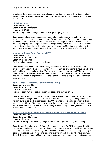investigate the problematic and unlawful uses of new technologies in the UK immigration system, bring campaign messages to the public and courts, and pursue legal action where appropriate.

**[Global Dialogue](https://global-dialogue.org/) Grant amount:** £100,000 **Grant duration:** 24 months **Location:** UK Wide **Project:** Migration Exchange strategic development programme

**Description:** Global Dialogue enables independent funders to work together to realise ambitious goals and create lasting change. They are a platform for philanthropic partnership, assisting donors to develop shared strategies, test new approaches and deliver lasting impact by aligning grants or pooling funds. This grant supports Global Dialogue to develop a new strategy that will deliver their vision for transforming the UK migration sector and its supporters by making it more connected, informed and able to catalyse effective action.

#### **[Institute for Public Policy Research \(IPPR\)](http://ippr.org/)**

**Grant amount:** £200,000 **Grant duration:** 48 months **Location:** South West **Project:** Migration and integration policy unit

**Description:** The Institute for Public Policy Research (IPPR) is the UK's pre-eminent progressive think tank. Their work spans politics, economics, environment, housing, jobs and skills, public services and migration. This grant underpins and formalises IPPR's role in the wider migration ecosystem, enabling them to launch a policy unit that will offer responsive and robust support to organisations who are working to improve migration and integration policy in the UK.

#### **[Joint Council for the Welfare of Immigrants \(JCWI\)](http://jcwi.org.uk/)**

**Grant amount:** £60,000 **Grant duration:** 12 months **Location:** South West **Project:** Restructuring to better support our sector and our movement

**Description:** Joint Council for the Welfare of Immigrants (JCWI) provides legal support for people who have migrated to the UK and their families, specialising in immigration and asylum law and policy. This grant supports JCWI to undertake a strategic review including consultation with over 100 partners to identify the gaps and needs that they can meet over the next five years. This will be accompanied by a restructuring of the organisation to better deliver the new strategy for 2022-27.

#### **MiCLU - [The Migrant and Refugee Childrens Legal Unit at Islington Law Centre](http://www.miclu.org/)**

**Grant amount:** £150,000 **Grant duration:** 36 months **Location:** England **Project:** Breaking the Chains – young migrants and refugees surviving and thriving

**Description:** The Migrant and Refugee Children's Legal Unit (MiCLU) is a specialist child centred legal and policy hub based at Islington Law Centre, representing children and young people (CYP) in the immigration system. They seek to achieve social justice by ensuring that policy and practice respect the rights and improve the lives of children who have migrated to the UK. This grant supports MiCLU to employ a Senior Advocate at fellow charity Shpresa,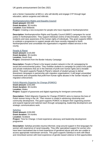and a Senior Caseworker at MiCLU, who will identify and engage CYP through legal education, advice surgeries and referrals.

#### **[Northamptonshire Rights and Equality Council](http://northantsrec.org/)**

**Grant amount:** £92,000 **Grant duration:** 36 months **Location:** East Midlands **Project:** Creating a new ecosystem for people who have migrated in Northamptonshire

**Description:** Northamptonshire Rights and Equality Council (NREC) campaigns for social justice in Northamptonshire. They support individual victims of discrimination, monitor hate incidents and raise awareness of the human rights of individuals. This grant supports NREC to underpin a programme to support people who have recently migrated to North Northamptonshire and consolidate the organisation's migration-related services in the county.

#### **[People & Planet](http://peopleandplanet.org/)**

**Grant amount:** £120,000 **Grant duration:** 36 months **Location:** South East **Project:** Divestment from the Border Industry Campaign

**Description:** People & Planet is the largest student network in the UK campaigning for social and environmental justice. They mobilise students to campaign for justice from public and private institutions that act in the interests of profit over human rights and a liveable planet. This grant supports People & Planet's network of student groups to deliver divestment campaigns in partnership with migration organisations. It will target universities' investments and companies that profit from human rights abuses in the 'border industry' of migration enforcement.

#### **[Polish Migrants Organise for Change \(POMOC\)](http://www.pomoc.org.uk/)**

**Grant amount:** £153,000 **Grant duration:** 36 months **Location:** Wales **Project:** Support of grassroots and digital organising for immigrant communities

**Description:** Polish Migrants Organise for Change (POMOC) aims to improve the lives of Polish women living in the UK. Their mission is rooted in advancing citizenship and community development. This grant supports POMOC to deepen their organising practice and expand regional and national reach through campaigning, leadership development and strategic communications work.

#### **[Saheliya](http://www.saheliya.co.uk/)**

**Grant amount:** £150,000 **Grant duration:** 24 months **Location:** Scotland **Project:** Time for Change: A lived experience advocacy and leadership development programme

**Description:** Saheliya provides trauma-informed, wrap-around support in first languages for women with experience of racial inequality. They offer specialised support for women who have been traumatised due to lived experience of gendered abuse and who are unable to access appropriate mainstream services. This grant supports Saheliya to work with Black and minoritised women with lived experience of gender-based violence to find opportunities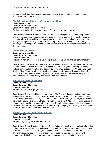for change, collaborate with sector partners, develop lived experience leadership and advocate to policy makers.

#### **[Sheffield Methodist District](https://www.sheffieldmethodist.org/) - Who Is Your Neighbour**

**Grant amount:** £120,000 **Grant duration:** 36 months **Location:** Yorkshire and the Humber **Project:** National partners, bigger impact: Countering far right narratives

**Description:** Sheffield Methodist District's Who Is Your Neighbour? (WIYN) programme operates at neighbourhood, regional and national levels to counter the impact of racist farright narratives. They facilitate dialogue about immigration, race and other relevant issues. This grant supports strategic long-term national partnerships for WIYN, incorporating training, bespoke support and tailored interventions with three national organisations and their members.

#### **[Southwark Law Centre](https://www.southwarklawcentre.org.uk/)**

**Grant amount:** £67,000 **Grant duration:** 24 months **Location:** London **Project:** Windrush Justice Clinic: Ensuring victims receive advice and fair compensation

**Description:** Southwark Law Centre provides specialist legal advice for people who cannot afford to pay for services in the areas of discrimination, employment, housing, planning, welfare rights, and immigration and asylum law. This grant supports the Centre's Windrush Justice Clinic (WJC), which acts a single point of contact for Windrush victims. They will continue to offer free independent legal advice so that victims can successfully apply for compensation which accurately reflects their loss and suffering.

#### **[The Voice of Domestic Workers](http://www.thevoiceofdomesticworkers.com/)**

**Grant amount:** £90,000 **Grant duration:** 36 months **Location:** London **Project:** Future Voices programme

**Description:** The Voice of Domestic Workers (VODW) is an education and support group working for justice and rights for Britain's 16,000 migrant domestic workers (MDWs). They seek an end to discrimination against MDWs living in the UK through campaigns, education, training, healthcare and legal advice. This grant supports VODW to deliver Future Voices, a programme to build the capacity of 12 members through mentoring and skills development in partnership with English for Action and Sounddelivery. The programme will grow the impact of VODW and create a pipeline for new leaders.

#### **[Tripod Training for Creative Social Action](http://www.tripodtraining.org/)**

**Grant amount:** £83,000 **Grant duration:** 33 months **Location:** Scotland **Project:** Organising for Power programme

**Description:** Tripod Training for Creative Social Action is a small training collective based in Edinburgh. They offer training, facilitation, systems-building and other support to grassroots collectives, and charities to strengthen movements for social, economic and climate justice. This grant supports the delivery of phase two of Tripod's Organising for Power (O4P) programme. Thirty leaders, organisers, and campaigners will conduct their own deep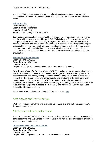analysis of their chosen issues and context, plan strategic campaigns, organise their communities, negotiate with power brokers, and build alliances to mobilise around shared issues.

**[Voices in Exile](https://www.voicesinexile.org/) Grant amount:** £200,000 **Grant duration:** 48 months **Location:** South East **Project:** Core funding for Voices in Exile

**Description:** Voices in Exile are a small frontline charity working with people who migrate and those with no recourse to public funds (NRPF) in Brighton, Sussex and Surrey. They offer practical and legal support ranging from generalist advice to specialist immigration casework for those who would otherwise be unable to access justice. This grant underpins Voices in Exile's core work, enabling them to continue providing high-quality legal advice and casework to address individual and systemic injustice, increase access to rights, entitlements and services, and increase the role of those with lived experience within the organisation.

#### **[Women for Refugee Women](http://www.refugeewomen.co.uk/)**

**Grant amount:** £240,000 **Grant duration:** 48 months **Location:** Wales **Project:** Building a supportive and humane asylum process for women

**Description:** Women for Refugee Women (WfRW) is a charity that supports and empowers women who seek asylum in the UK. They enable refugee and asylum-seeking women to become leaders, ensure they can speak to the media and at public events, publish robust research on their experiences, and work with policymakers to make the case for a fairer asylum process. This grant supports WfRW to continue their main support and empowerment activities, as well as provide mentoring and training for trustee and leadership roles, develop campaigns to oppose the Nationality and Borders Bill, and strengthen the Sisters Not Strangers coalition.

If you would like to find out more about this Fund please see [here.](https://www.phf.org.uk/funds/shared-ground-fund/)

# Arts Access and Participation

We believe in the power of the arts as a force for change, and one that enriches people's lives and communities.

## Arts Access and Participation Fund

The Arts Access and Participation Fund addresses inequalities of opportunity to access and participate in the arts. We want to support change in the way the arts are created, presented, accessed and experienced.

**[Arts and Homelessness International](http://www.artshomelessint.com/) Grant amount:** £140,000 **Grant duration:** 48 months **Location:** UK wide **Project:** Increasing influence of Arts and Homelessness in the UK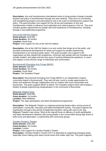**Description:** Arts and Homelessness International works to bring positive change to people, projects and policy in homelessness through arts and creativity. They focus on connecting and strengthening projects and advocating for arts to be a part of homelessness support and policy. This grant provides core support for the roll-out and evaluation of Arts and Homelessness models to influence local authorities and cultural spaces in the UK. This work includes greater opportunities for people with lived experience of homelessness, including through a new leadership programme.

#### **[Arts at the Old Fire Station](http://www.oldfirestation.org.uk/)**

**Grant amount:** £210,000 **Grant duration:** 36 months **Location:** South East **Project:** Core support for Arts at the Old Fire Station

**Description:** Arts at the Old Fire Station is an arts centre that brings art to the public, and provides professional development for artists and support for people experiencing homelessness in an inclusive public space. This grant provides core support to the organisation as they rebuild their programme, reconnect with people who are homeless and socially isolated, and adapt and test new ways of working following the pandemic, to reach and support a more diverse range of individuals and communities.

#### **[Bournemouth Emerging Arts Fringe \(BEAF\)](http://www.gotbeaf.co.uk/)**

**Grant amount:** £90,000 **Grant duration:** 36 months **Location:** South West **Project:** The Outsiders Project

**Description:** Bournemouth Emerging Arts Fringe (BEAF) is an independent creative community based in Bournemouth. They work all year round to create opportunities for artists and audiences through collaboration and co-creation with local communities and businesses. This grant supports BEAF to deliver The Outsiders project which will incubate a theatre of people experiencing marginalisation in the community of Boscombe.

#### **[Belgrade Theatre Trust](http://www.belgrade.co.uk/)**

**Grant amount:** £146,000 **Grant duration:** 18 months **Location:** West Midlands **Project:** The Jag's participation and talent development programmes

**Description:** The Belgrade Theatre is a regional producing theatre with a strong record of participation, community, education and talent development activity. This grant supports the organisation through a key period of leadership transition, along with work at the Jag, Belgrade Theatre's new venue. Work at the Jag will focus on delivery of youth participation and talent development initiatives with young people in two communities facing high levels of knife crime and deprivation, in partnership with community groups.

#### **[Camden People's Theatre](http://www.cptheatre.co.uk/)**

**Grant amount:** £261,000 **Grant duration:** 36 months **Location:** London **Project:** Core support for Camden People's Theatre **Description:** Camden People's Theatre (CPT) is dedicated to supporting emerging artists, especially those making work about social issues that matter right now. This grant supports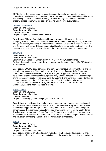CPT to deliver their commissioning and artist support model which aims to increase professional development opportunities for artists experiencing marginalisation and increase the diversity of CPT's audiences. Funding will allow the organisation to increase core capacity, embed community-led decision-making and improve sustainability.

#### **Chineke! [Foundation](http://www.chineke.org/)**

**Grant amount:** £210,000 **Grant duration:** 36 months **Location:** UK wide **Project:** Supporting Chineke!'s core mission

**Description:** Chineke! Foundation provides career opportunities to established and emerging Black and minoritised classical musicians in the UK and Europe. They aim to be a catalyst for change, increasing the representation of ethnically diverse musicians in British and European orchestras. This grant underpins Chineke!'s core mission and work, including developing approaches to better understand the organisation's impact and share learning.

#### **[COMMUN](http://www.commun.space/)**

**Grant amount:** £75,000 **Grant duration:** 29 months **Location:** East Midlands, London, North West, South West, West Midlands **Project:** Developing a community-building and career development model for BIPoC artists across the UK

**Description:** COMMUN is a combined arts company who focus on community-building for emerging artists who are Black, Indigenous, and/or People of Colour (BIPoC) through collaboration and inter-disciplinary practices. This grant supports COMMUN to further develop and expand their model for supporting early and mid-career BIPoC artists through online collaborative digital residencies, skills development, and performance opportunities at partner venues across the UK. Over three years, COMMUN will aim to increase opportunities and arts access for marginalised audiences in London, Bristol and Birmingham, and two additional cities or towns.

**[Impact Dance](https://impactdance.co.uk/)**

**Grant amount:** £100,000 **Grant duration:** 16 months **Location:** London **Project:** Developing youth dance programmes in Camden

**Description:** Impact Dance is a hip-hop theatre company, street dance organisation and educational facilitator working across the UK and internationally. They aim to educate and empower young people through an annual programme of dance training, mentoring and performances. This grant underpins staffing and programme delivery for the Youth Dance Training Academy and Youth Dance Company. Through these youth dance programmes, Impact Dance will increase reach from their studio base in Camden, deepen their community and education partnership, and improve their evaluation methodology.

#### **[Intoart](http://www.intoart.org.uk/)**

**Grant amount:** £120,000 **Grant duration:** 39 months **Location:** London **Project:** Core support for Intoart **Description:** Intoart is an art and design studio based in Peckham, South London. They address inequalities of access to and participation in the visual arts, education and culture by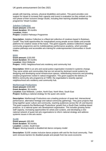people with learning, sensory, physical disabilities and autism. This grant provides core support for Intoart to increase their capacity and invest in evaluation as they embark on the next phase of their inclusive Design Studio, including their learning-disabled leadership programme 'Intoart Curates'.

#### **[Jukebox Collective](http://www.jukeboxcollective.com/)**

**Grant amount:** £250,000 **Grant duration:** 36 months **Location:** Wales **Project:** Creative Pathways Programme

**Description:** Jukebox Collective is a Black-led collective of creatives based in Butetown, Cardiff. They build opportunities for marginalised young people across Wales and provide platforms for creative voices of the future. This grant supports Jukebox Collective's regular community programme and its multidisciplinary performance academy, which provides creative pathways and accessible arts training for underrepresented communities in South Wales.

#### **[MAIA](http://www.maiagroup.co/)**

**Grant amount:** £150,000 **Grant duration:** 36 months **Location:** West Midlands **Project:** YARD: Neighbourhood arts residency and community hub

**Description:** MAIA is an arts and social justice organisation invested in systemic change. They serve artists and communities that are not served by dominant social systems by designing and developing social infrastructure spaces, redistributing resources and providing creative programmes rooted in radical imagination. This grant supports the delivery of MAIA's community arts programme at YARD, the organisation's recently opened neighbourhood arts residency and community hub.

#### **[Marlborough Productions](http://www.marlboroughproductions.org.uk/)**

**Grant amount:** £240,000 **Grant duration:** 36 months **Location:** East Midlands**,** London, North East, North West, South East **Project:** Building a national strategy for the queer arts sector

**Description:** Marlborough Productions are a leading producer of queer-led, intersectional performance, alternative heritage and radical community gatherings. They grow projects that bring together queer culture and community, reaching audiences across the UK and beyond. This grant supports the Marlborough Productions' growth from a South East, building-based producer, to a national queer arts development organisation. This includes growing senior staff capacity, increasing opportunities for artists and curators, and developing a new national network of queer-led arts organisations to inform national strategy and address systemic issues in the arts sector.

#### **[SLiDE](http://www.slidedance.org/)**

**Grant amount:** £85,000 **Grant duration:** 36 months **Location:** London**,** South East **Project:** Moving towards a disabled-led dance company model

**Description:** SLiDE creates inclusive dance projects with and for the local community. Their work removes barriers for disabled people and people from low socio-economic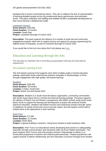backgrounds to access contemporary dance. They aim to address the lack of representation of learning-disabled people across the professional dance performance and education sector. This grant underpins core staffing and enables SLiDE's sustainable development as they move towards a disabled-led model.

#### **[Lewisham Council](https://lewisham.gov.uk/)**

**Grant amount:** £250,000 **Grant duration:** 14 months **Location:** South East **Project:** Lewisham Borough of Culture 2022

**Description:** This grant supports the delivery of a number of youth-led and community engagement projects which aim to support access and agency for groups experiencing the highest levels of inequality, as part of Lewisham Borough of Culture 2022.

If you would like to find out more about this Fund please see [here.](https://www.phf.org.uk/funds/access-and-participation-fund/)

# Education and Learning through the Arts

The arts play an important role in enriching young people's learning and educational experiences.

## Arts-based Learning Fund

The Arts-based Learning Fund supports work which enables pupils in formal education settings, particularly those experiencing systemic inequality or disadvantage, to thrive through engagement with high quality, arts-based learning.

#### **[Akademi](http://www.akademi.co.uk/)**

**Grant amount:** £265,000 **Grant duration:** 36 months **Location:** London**,** South East **Project:** Reach Out and Reveal 2022

**Description:** Akademi is a South Asian-led dance organisation, connecting communities with South Asian dance forms in formal and informal learning settings. This grant supports the delivery of Reach Out and Reveal, a programme with SEND schools using South Asian dance forms to support the learning and development of pupils with profound Autistic Spectrum Disorders. Akademi will embed inclusive and responsive practice through 'artists in residence' for whole-school and cross-curricular impact, and will support school staff to embed some of the approaches in their teaching.

#### **[Ariel Trust](http://www.arieltrust.com/)**

**Grant amount:** £71,000 **Grant duration:** 21 months **Location:** North West **Project:** Capacity-building in teachers: Using forum theatre to build resistance skills

**Description:** Ariel Trust is an educational charity developing best practice in safeguarding education through communication and resistance skills via forum theatre techniques. This grant supports Ariel Trust to work with primary schools in Merseyside to deliver a coconstructed programme of teacher and child-focused workshops. Theatre practitioners will support teacher to deliver Relationship and Sex Education curriculum through forum theatre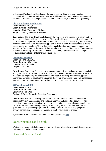techniques. Pupils will build resilience, develop critical thinking, and learn positive communication strategies and social resistance skills enabling them to better manage and respond to risks they face, especially in the face of hate crime, extremism and grooming.

#### **[Big Brum Theatre in Education](http://www.bigbrum.org.uk/)**

**Grant amount:** £197,500 **Grant duration:** 30 months **Location:** North West**,** West Midlands **Project:** Creating 'Schools of Recovery'

**Description:** Big Brum Theatre in Education delivers tours and projects to children and young people in the Midlands and beyond. They work with schools and colleges in areas of socio-economic deprivation to address barriers that pupils face in developing their speaking, listening and writing skills. This grant supports Big Brum to grow their collaborative dramabased model with teachers. They will establish a collaborative learning environment for teachers in five schools in the West Midlands and two schools in Manchester. Through these 'Schools of Recovery', Big Brum aim to build confidence, agency and professional practice to support the wellbeing of teachers and their pupils.

#### **[Cambridge Junction](https://www.junction.co.uk/)**

**Grant amount:** £170,750 **Grant duration:** 36 months **Location:** East of England **Project:** Take Two

**Description:** Cambridge Junction is an arts centre and hub for local people, and especially young people, to be inspired by the arts. They welcome communities to explore, experience, make and be inspired by art, entertainment and creative learning. This grant supports Cambridge Junction to develop the sustainability of their programme Take Two, embedding long-term creative opportunities for children and young people with complex needs.

#### **[St Pauls Carnival CIC](http://www.stpaulscarnival.net/)**

**Grant amount:** £104,000 **Grant duration:** 28 months **Location:** South West **Project:** St Pauls Carnival's Education Programme

**Description:** St Pauls Carnival promote and celebrate African Caribbean culture and traditions through an accessible and inclusive Carnival and supporting activities. Their education programme aims to inform, engage and inspire children and young people through dance, music, costume-making and storytelling. This grant supports St Pauls Carnival to grow their existing schools programme into a larger year-round offer, engaging with 15 primary schools and ten secondary schools in the St Pauls area of Bristol.

If you would like to find out more about this Fund please see [here.](https://www.phf.org.uk/funds/arts-based-learning-fund/)

# Nurturing ideas and people

We invest in the potential of people and organisations, valuing their capacity to see the world differently and make change happen.

### Ideas and Pioneers Fund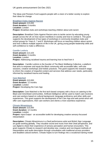The Ideas and Pioneers Fund supports people with a vision of a better society to explore their ideas for change.

#### **[Breakfast Clubs Against Racism](http://breakfastclubsagainstracism.co.uk/)**

**Grant amount:** £15,000 **Grant duration:** 6 months **Location:** London **Project:** Breakfast clubs and workshops teaching children about anti-racism

**Description:** Breakfast Clubs Against Racism aims to tackle racism by educating young people across the UK on how racism manifests in society and how to combat it. This grant supports the development of two types of workshops in community breakfast clubs and school groups for Years 6, 7 and 8. Workshops will focus on teaching children about racism and how it affects multiple aspects of life in the UK, giving young people leadership skills and self-confidence to make a difference.

#### **Camille Lesforis**

**Grant amount:** £13,103 **Grant duration:** 6 months **Location:** London **Project:** Addressing racialised trauma and learning how to heal from it

**Description:** Camille Lesforis is the founder of The Black Wellbeing Collective, a platform that aims to empower and equip the Black community with accessible talks, self-care sessions, creative workshops and holistic practices. This grant supports the research stage to inform the creation of impactful content and services that address user needs, particularly informed by racialised trauma and healing.

#### **[Care Matched](http://carematched.co.uk/)**

**Grant amount:** £10,000 **Grant duration:** 12 months **Location:** London **Project:** Developing the Care App

**Description:** Care Matched is the first tech-based company with a focus on catering to the Black and minoritised communities. Artificial intelligence will be used to match care receivers and care workers based on cultural background, language proficiency and other skills and experiences. This grant supports the development of the Care App and web portal which will offer care organisations, their care workers and clients a more seamless experience.

#### **[Chisato Minamimura](http://chisatominamimura.com/)**

**Grant amount:** £15,000 **Grant duration:** 12 months **Location:** London **Project:** Input:Output - an accessible toolkit for developing creative sensory-focussed interpretation

**Description:** Chisato Minamimura is a Deaf performance artist and British Sign Language art guide working globally. They visualise sound and music from their Deaf perspective, and use digital to share their experience of sensory perception and human encounters. This grant supports Chisato to research and develop new, creative and non-linguist methods of interpretation and audio description through consultation with traditional access providers and disabled cultural workers. Chisato hopes to turn findings into a vocational training model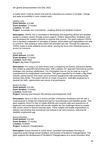or toolkit which could be shared and used by cultural/access workers to broaden, change and apply accessibility in more creative ways.

#### **[CRIPtic Arts](http://www.cripticarts.org/)**

**Grant amount:** £14,980 **Grant duration:** 12 months **Location:** UK wide **Project:** Accessible Arts Commitment - enabling d/Deaf and disabled creatives

**Description:** CRIPtic Arts is committed to developing and supporting d/Deaf and disabled people in creative careers through access support, creative opportunities, facilitation work and developing the creative industries to improve their access. This grant supports CRIPtic Arts to develop a statement of 'principles of access' which artists and organisations are able to commit to, only working in areas where the principles are met. Through the statement, CRIPtic hopes to build solidarity across artists, moving the focus from individual access to access for everyone.

#### **[Fox Irving](https://foxirving.com/)**

**Grant amount:** £15,000 **Grant duration:** 5 months **Location:** North West **Project:** Big Sister Programme

**Description:** Fox Irving is an artist whose work is shaped by the liminal, precarious identity they inhabit as queer/femme/working class. With a playful, DIY approach informed by activist strategies and centring collaboration, Fox investigates how art can be used as a tool of empowerment by marginalised communities. This grant supports Fox to create a 'Big Sister' network, joining women from lower socio-economic backgrounds with practising female working class artists. The project will aim to create a long-term, replicable programme to develop the skills, opportunities and voices of all participants.

#### **[Send it to Alex](https://sendittoalex.co.uk/)**

**Grant amount:** £15,000 **Grant duration:** 4 months **Location:** South East **Project:** Diversity and Inclusion Recruitment and Employment HUB

**Description:** Send it to Alex is a service provider of Business Assistance and HR with a social purpose to bridge the employment gap for neurodivergent and disabled people. This grant supports Send it to Alex to collate diversity and inclusion data and experiences of applicants and employers which will provide insights into the challenges faced by people with access needs or diverse learning styles. These insights will enable organisations to address and develop their procedures and policies to be more inclusive, reducing the disability employment gap.

#### **[Emma Houston](https://www.emmahoustonconsulting.com/blog/categories/scotland-s-changemakers)**

**Grant amount:** £15,000 **Grant duration:** 12 months **Location:** Scotland **Project:** Scotland's Changemakers

**Description:** Emma Houston is a third sector consultant and facilitator focusing on supporting social change across Scotland, and founder of Scotland's Changemakers. This grant supports the development of Scotland's Changemakers as a social innovation think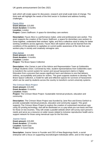tank which will create space for discussion, research and small-scale tests of change. The think tank will highlight the needs of the third sector in Scotland and address funding challenges.

**[Fauve Alice](https://www.fauvealice.com/) Grant amount:** £15,000 **Grant duration:** 6 months **Location:** London **Project:** Carers Staffroom: A space for domiciliary care workers

**Description:** Fauve Alice is a performance maker, artist and professional care worker. This grant supports the creation of the Carers Staffroom, a space for domiciliary care workers to come together, understand their workers' rights, and find a collective voice to lobby for better working conditions across agencies. Fauve Alice will explore what can be learned from the conditions of the pandemic to capitalise on current public awareness of the role that care workers play in society and creatively reimagine care.

#### **[Irfan Zaman](https://www.goldsmithssu.org/yourunion/)**

**Grant amount:** £13,800 **Grant duration:** 4 months **Location:** London **Project:** The Brave Space Collective

**Description:** Irfan Zaman is part of the Advice and Representation Team at Goldsmiths College Students Union. Convened by Irfan, student representatives from Goldsmiths want to transform the current system for racism and sexual harassment claims in Higher Education from a process that causes significant harm and distress to one that delivers redress, accountability and justice for victims. This grant supports students to develop The Brave Space Collective, a model for safe and reflective spaces for survivors of harassment which can be used by students across the country to transform current university systems.

#### **The Crimson Wave Project**

**Grant amount:** £15,000 **Grant duration:** 6 months **Location:** Wales **Project:** The Crimson Wave Project: Sustainable menstrual products, education and community

**Description:** The Crimson Wave Project was founded by Jane Rice and Emma Gerbich to provide sustainable menstrual prodcuts, education and community support. This grant supports The Crimson Wave Project to explore the creation of customised menstrual cups using 3D printing technology, that will be distributed on a a pay-what-you-can-basis and free for those on low incomes. They will create a parallel website which will survey each person's needs and serve as a resource on wider issues related to inclusive reproductive health and a support network for those using menstrual cups for the first time.

#### **Joanne Vance**

**Grant amount:** £15,000 **Grant duration:** 12 months **Location:** North East **Project:** In Good Hands

**Description:** Joanne Vance is Founder and CEO of New Beginnings North, a social enterprise with a focus on supporting neurodivergent individuals within, and on the verge of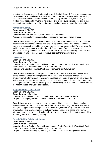entering the Criminal Justice System in the North East of England. This grant supports the development of In Good Hands, a service to support prolific offenders and those serving short sentences who have neurodiverse needs so they can live safer, law-abiding and fulfilled lives. Specialist keyworkers will provide one-to-one support in prisons and in the community, co-designed with the participants based on their own neurodiverse needs.

#### **[Katharine Quarmby](http://katharinequarmby.com/)**

**Grant amount:** £14,700 **Grant duration:** 6 months **Location:** London**,** North East**,** North West**,** West Midlands **Project:** Exposing planning segregation: Institutional racism and Traveller sites

**Description:** Katherine Quarmby is a writer, editor and journalist whose work focuses on social affairs, hate crime and race relations. This grant supports Katherine to scope out planning processes that lead to the environmentally unjust placement of Traveller sites. By looking at four in-depth case studies through Freedom of Information requests and interviews with key stakeholders, Katherine will aim to expose the planning decisions that embed racism and segregation and improve local authority accountability.

#### **Lola Odunsi**

**Grant amount:** £11,000 **Grant duration:** 12 months **Location:** East of England**,** East Midlands, London**,** North East**,** North West**,** South East**,**  South West, West Midlands, Yorkshire and the Humber **Project:** She Decided: Financial Wellness Programme for BME Women

**Description:** Business Psychologist Lola Odunsi will create a holistic and multifaceted online based financial wellness programme for Black and minoritised women. The programme will offer mindset coaching, financial education and employability training, and a safe space to discuss money concerns and receive peer support. Through the programme, Lola hopes to contribute to economic justice and wellbeing for Black and minoritised women, their communities and future generations.

#### **[Mary-anne Hodd -](https://www.maryannehodd.co.uk/) Vital Voice**

**Grant amount:** £15,000 **Grant duration:** 18 months **Location:** East Midlands, London, South East, South West, West Midlands **Project:** Training organisations and authorities in the field of foster care

**Description:** Mary-anne Hodd is a care-experienced trainer, consultant and speaker working to connect the child's voice to the heart of services through her work Vital Voice. This grant supports the training function of Vital Voice, in which Mary-anne will work with organisations and local authorities to deliver training on strengths-based and traumainformed approaches to care. Training will later extend to schools, leading to opportunities for young people in community settings.

#### **[SustainED \(The Solidarity Library\)](http://www.thesolidaritylibrary.org/)**

**Grant amount:** £15,000

**Grant duration:** 18 months

**Location:** East of England, East Midlands, London, North East, North West, South East, South West, West Midlands, Yorkshire and the Humber

**Project:** Transcending Inequity: Bridging research and practice through social justice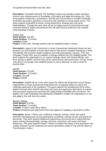#### UK grants announcement Oct-Dec 2021

**Description:** SustainED (formerly The Solidarity Library) was founded amidst a growing concern over unequal access to knowledge, information and digital technology use. They bring together researchers, practitioners, activists and communities to reshape knowledge production and build a repository of resources and expertise on social justice issues. This grant supports SustainED to mentor young researchers, drawing upon anti-racist methodologies. Through this work, they will aim to bridge research and practice through youth-led research outputs and products that will reach diverse audiences and reshape understandings of justice.

#### **[Purple Vote](http://www.legacyig.org/)**

**Grant amount:** £15,000 **Grant duration:** 12 months **Location:** Wales **Project:** Purple Vote: Stronger political voice for disabled people in society

**Description:** Legacy in the Community is a team of passionate individuals whose aim and purpose is to work together to break down barriers that prevent disabled individuals or those who identify with long-term health conditions from fully participating in society. Their new campaign, Purple Vote, aims to establish a stronger political voice for disabled people. This grant supports the organisation to run regular hustings events with elected officials, and focus groups to gather concerns that can be raised directly with government. Overall, Purple Vote aims to encourage more disabled people to vote in elections as well as stand for elected office.

#### **[RadHR](https://radhr.org/)**

**Grant amount:** £15,000 **Grant duration:** 12 months **Location:** UK wide **Project:** RadHR

**Description:** RadHR will be a new online space for radical and progressive social change organisations to share practical learnings about how to organise based on values and challenge oppression in the workplace. This grant supports the development of the online platform through which RadHR will create and share anti-oppressive alternatives to policies and processes ranging from parenting and safeguarding to disability and recruitment. The platform will make knowledge and approaches available to smaller UK organisations to use and adapt in line with their own values.

#### **[Resist + Renew](http://www.resistrenew.com/)**

**Grant amount:** £15,000 **Grant duration:** 12 months **Location:** London, South West, Wales **Project:** Developing anti-oppressive tools and support for engaging in generative conflict

**Description:** Resist + Renew are a collective of friends, activists, artists and radical educators developing and running participatory workshops, training courses and spaces for discussion. They work towards building an autonomous community and a radical learning space centring intersectionality, ecology, feminism, anarchism, anti-racism and direct democracy. This grant supports Resist + Renew to explore how ideas of anti-oppression and conflict resolution can be combined and used in generative conflict in line with the values of Transformative Justice.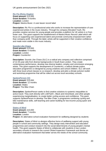#### **[Ric Flo \(Ricky Diaghe\)](https://www.elevatedyouth.uk/)**

**Grant amount:** £15,000 **Grant duration:** 9 months **Location:** London **Project:** Mantra Music: A care leaver record label

**Description:** Ric Flo is a professional artist who works to increase the representation of care experienced artists in the music industry. Through his company Elevated Youth, Ric provides creative services for young people and provides a platform for UK artists in or from foster care. This grant supports the establishment of Mantra Music Record Label which will focus on supporting care-experienced talent and promote community empowerment rather than company profit. Through the label, artists will be supported in their creative confidence and made more visible in the music industry.

#### **[Sounds Like Chaos](https://soundslikechaos.com/)**

**Grant amount:** £15,000 **Grant duration:** 6 months **Location:** London **Project:** CounterAct

**Description:** Sounds Like Chaos (SLC) is a radical arts company and collective comprised of 12-25-year-olds from diverse backgrounds in South East London. They create contemporary performance, develop new diverse leaders, employ and commission emerging artists. This grant supports the development of CounterAct, a radical climate justice education programme co-designed by young creatives and school children. SLC will work with three local school classes to co-research, develop and pilot a climate activism toolkit and workshop programme that will be rolled out across local secondary schools.

#### **[SpokesPerson CIC](http://spokesperson.bike/)**

**Grant amount:** £15,000 **Grant duration:** 12 months **Location:** Wales **Project:** The Bike Chain

**Description:** SpokesPerson seeks to find creative solutions to systemic inequalities to active travel. They work directly with LGBTQIA+, Black and minoritised, and other people experiencing marginalisation, to create better cycling access and confidence. This grant supports SpokesPerson to develop The Bike Chain, a programme combining cycling and bike maintenance skills, self-teaching and career-building for low-income young queer and trans people.

#### **[States of Mind](http://www.statesofmind.org/)**

**Grant amount:** £10,000 **Grant duration:** 7 months **Location:** London **Project:** An alternative school evaluation framework for wellbeing designed by students

**Description:** States of Mind co-designs effective forms of wellbeing support with young people in school and community settings. They design early intervention and education programmes and conduct research into the social determinants of young people's mental health. This grant supports States of Mind to collaborate with students in two London secondary schools to research the current Ofsted Inspection Framework and devise an alternative evaluation framework that better serves the needs of the school community.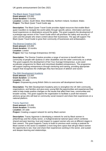**[The Black Queer Travel Guide](https://www.theblackqueertravelguide.com/)**

**Grant amount:** £15,000 **Grant duration:** 6 months **Location:** London, South West, West Midlands, Northern Ireland, Scotland, Wales **Project:** The Black Queer Travel Guide app

**Description:** The Black Queer Travel Guide provides digital resources that enable Black queer travellers to navigate the world safely through specific advice, information and local travel experiences on destinations around the globe. This grant supports the development of a prototype app version of the Travel Guide which will prioritise the safety and security of users and the people who share content about their businesses. The app will support The Black Queer Travel Guide to grow their community of businesses and ambassadors.

#### **[The Diverse Creative CIC](http://thediversecreative.org/)**

**Grant amount:** £15,000 **Grant duration:** 10 months **Location:** London **Project:** Not Your Average Entrepreneur (NYAE)

**Description:** The Diverse Creative provides a range of services to benefit both the community of people with dyslexia or other disabilities and the wider community as a whole. This grant supports the development of Not Your Average Entrepreneur, a pre-seed accelerator programme for Black and minoritised disabled entrepreneurs. The programme will support aspiring entrepreneurs through mentoring and training, providing appropriate support that recognises the challenges they face because of ableism and racism.

#### **[The Sikh Development Academy](http://www.thesikhacademy.org/)**

**Grant amount:** £15,000 **Grant duration:** 12 months **Location:** UK wide **Project:** Empowering young British Sikhs to overcome self development barriers

**Description:** The Sikh Development Academy aims to strengthen the UK Sikh community, organisations, and families and give every young Sikh the opportunities and experiences they need to help create positive changes on the issues that affect their lives, communities and broader society. This grant supports the organisation to facilitate a youth-led research advisory group who will lead on community social research and share their experiences on a national platform.

**Tracey Agyeman Grant amount:** £15,000 **Grant duration:** 9 months **Location:** UK wide **Project:** Creating a support network for and by Black women

**Description:** Tracey Agyeman is developing a network for and by Black women in philanthropy and the charity sector, a multigenerational national space which combines shared and peer learning, trust and respect to support women who are at different stages in their careers. This grant supports Tracey to build on previous work running a reatreat for Black women in the sector to establish a more long-term space that will give Black women the opportunity to see, hear and share their experiences working in the sector, and sustain and deepen learning and relationships.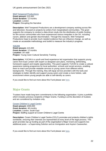**[Well Tempered Productions](http://www.welltemperedproductions.com/)**

**Grant amount:** £15,000 **Grant duration:** 12 months **Location:** London **Project:** Disrupting the Narrative

**Description:** Well Tempered Productions are a development company working across film and television, focused on projects by writers from marginalised communities. This grant supports the company to conduct a data driven study into the distribution of public funding for film across communities who have experienced various inequities in the UK, including racism, ableism and gender discrimination. Through this research, Well Tempered Productions hope to provide much needed evidence that can influence change, as well as create an accessible methodology and toolkit to measure the industry's progress.

#### **[YUCAN](https://yucan.org.uk/)**

**Grant amount:** £15,000 **Grant duration:** 12 months **Location:** UK wide **Project:** Young Carer Cultural Sensitivity Training

**Description:** YUCAN is a youth and lived experience led organisation that supports young carers from East London with expert co-designed care plans, mentoring, befriending, homework support and respite opportunities. This grant supports YUCAN to create a cultural awareness training programme for local authorities, schools and social services, enabling them to reach and provide relatable services to young carers from different ethnic backgrounds. Through this training, they will equip service providers with the tools and strategies to better identify and support young carers and create a more holistic, safe environment where young people are able to self-identify as carers.

If you would like to find out more about this Fund please see [here.](https://www.phf.org.uk/funds/ideaspioneers/)

# Major Grants

Trustees have made long-term commitments to the following organisation. It joins a portfolio which includes previous recipients of Major Grants. Funding is at the discretion of trustees and are considered by invitation only.

**[Coram Children's Legal Centre](http://www.coram.org.uk/) Grant amount:** £300,000 **Grant duration:** 48 months **Location:** London**,** South East Project: Staffing support at Coram Children's Legal Centre

**Description:** Coram Children's Legal Centre (CCLC) promotes and protects children's rights worldwide, ensuring their interests are represented at every level of the legal process. This grant provides top-up funding as part of the organisation's Major Grant and supports two additional posts – a Supervising Solicitor and an Immigration and Asylum Caseworker.

If you would like to find out more about this Fund please see [here.](https://www.phf.org.uk/programmes/major-grants/)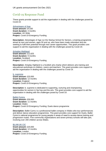# Covid-19 Response Fund

These grants provide support to aid the organisation in dealing with the challenges posed by Covid-19.

#### **[Advantages of Age](https://startupschoolforseniors.com/)**

**Grant amount:** £4,530 **Grant duration:** 4 months **Location:** UK Wide **Project:** Covid-19 Emergency Funding

**Description:** Advantages of Age run the Startup School for Seniors, a training programme aimed at men and women, ages 50 and up, who have been made redundant and are seeking to fulfil their potential through new career opportunities. This grant provides core support to aid the organisation in dealing with the challenges posed by Covid-19.

#### **[Artsplay Highland](http://www.artsplay.org.uk/)**

**Grant amount:** £12,625 **Grant duration:** 9 months **Location:** Scotland **Project:** Covid-19 Emergency Funding

**Description:** Artsplay Highland is a Scottish arts charity which delivers arts training and educational workshops to children, carers and teachers. This grant provides core support to aid the organisation in dealing with the challenges posed by Covid-19.

**b. [supreme](http://www.bsupreme.co.uk/) Grant amount:** £20,000 **Grant duration:** 12 months **Location:** England **Project:** Covid-19 Emergency Funding

**Description:** b. supreme is dedicated to supporting, nurturing and championing opportunities for women in hip hop and the arts. This grant provides core support to aid the organisation in dealing with the challenges posed by Covid-19.

**[Ballet Cymru](http://www.welshballet.co.uk/) Grant amount:** £59,000 **Grant duration:** 11 months **Location:** Wales **Project:** Covid-19 Emergency Funding: Duets dance programme

**Description:** Ballet Cymru is a professional ballet company in Wales who tour performances and deliver dance education programmes. This grant provides core support for Duets, Ballet Cymru's national programme for young people in areas of need to access dance training and progression routes. Five community organisations and seven primary schools will take part, involving over 200 children across Wales.

#### **[BLAM UK CiC](http://blamuk.org/)**

**Grant amount:** £20,000 **Grant duration:** 12 months **Location:** London **Project:** Covid-19 Emergency Funding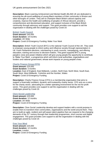**Description:** Black Learning Achievement and Mental Health (BLAM) UK are dedicated to ensuring the all-round wellbeing of young Black members of their community in Brixton and other boroughs of London. They aim to champion Black British cultural capacity and creativity, improve the health and wellbeing of peoples of African descent, provide a comprehensive and decolonised education, and support inclusion of the Black British community through advocacy and support. This grant provides core support to aid the organisation in dealing with the challenges posed by Covid-19.

#### **[British Youth Council](http://www.byc.org.uk/)**

**Grant amount:** £40,000 **Grant duration:** 19 months **Location:** UK Wide **Project:** Covid-19 Emergency Funding: Make Your Mark

**Description:** British Youth Council (BYC) is the national Youth Council of the UK. They seek to empower young people to inform policy and influence society through representation in UK Youth Parliament elections, volunteering in youth councils, campaigning, and offering education, training and access to decision-makers. This grant supports BYC's young people's voice and power initiative which will give young people the opportunity to contribute to 'Make Your Mark', a programme which will inform local authorities, organisations and funders and national government, whose work impacts on young people's lives.

#### **[Charity Finance Group \(CFG\)](http://www.cfg.org.uk/)**

**Grant amount:** £20,000 **Grant duration:** 3 months **Location:** East of England, East Midlands, London, North East, North West, South East, South West, West Midlands, Yorkshire and the Humber, Wales **Project:** Covid-19 Emergency Funding

**Description:** Charity Finance Group (CFG) is a membership organisation that aims to support a financially confident, dynamic and trustworthy charity sector. CFG acts as a voice for the charity sector, advocating for a better operating environment for the not-for-profit sector. This grant provides core support to aid the organisation in dealing with the challenges posed by Covid-19.

#### **[Clore Social Leadership](http://cloresocialleadership.org.uk/)**

**Grant amount:** £20,000 **Grant duration:** 12 months **Location:** UK Wide **Project:** Covid-19 Emergency Funding

**Description:** Clore Social Leadership develop and support leaders with a social purpose to enable them to transform their communities, organisations and the world around them. They aim to build an agile, resilient and self-aware talent pipeline that can respond to the changing demands of the 21<sup>st</sup> century through their leadership programmes, short courses and digital engagement. This grant provides core support to aid the organisation in dealing with the challenges posed by Covid-19.

#### **[Free Your Mind](https://www.freeyourmindcic.com/)**

**Grant amount:** £20,000 **Grant duration:** 12 months **Location:** London **Project:** Covid-19 Emergency Funding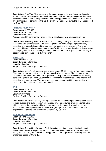**Description:** Free Your Mind supports children and young children affected by domestic abuse. They provide bespoke therapeutic support for children and young people that have witnessed abuse at home and provide wraparound support services to help families rebuild. This grant provides core support to aid the organisation in dealing with the challenges posed by Covid-19.

#### **[Hideaway Youth Project](https://thehideaway.org.uk/)**

**Grant amount:** £30,000 **Grant duration:** 12 months **Location:** North West **Project:** Covid-19 Emergency Funding: Young people informing youth programmes

**Description:** Hideaway Youth Project is a small but longstanding youth charity based in the Moss Side area of Manchester. They offer regular youth clubs, targeted programmes, education and specialist support in areas such as housing or employment. This grant supports Hideaway to incorporate young people's skills and perspectives in the development of new programmes of youth work, in order to increase the quality, quantity and diversity of opportunities for young people that they offer.

#### **[Ignite Youth](http://www.igniteyouth.org.uk/)**

**Grant amount:** £20,000 **Grant duration:** 12 months **Location:** London **Project: Covid-19 Emergency Funding** 

**Description:** Ignite Youth supports young people aged 11-25 in Harrow, from predominantly Black and minoritised backgrounds, facing multiple disadvantages. They engage young people that feel disenfranchised or marginalised, to help them move away from life-limiting behaviour, gang involvement, youth violence, exploitative relationships and re-engage with education and employment. This grant provides core support to aid the organisation in dealing with the challenges posed by Covid-19.

#### **[IMIX](http://www.imix.org.uk/)**

**Grant amount:** £15,000 **Grant duration:** 3 months **Location:** UK Wide **Project:** Covid-19 Emergency Funding

**Description:** IMIX works closely with organisations across the refugee and migration sector to train, support and build communications capacity. They draw on lived experience along with contacts in the national and local press to ensure that more first-hand stories and accounts are shared publicly in the media. This grant provides core support to aid the organisation in dealing with the challenges posed by Covid-19.

#### **[Institute for Youth Work](http://www.iyw.org.uk/)**

**Grant amount:** £20,000 **Grant duration:** 12 months **Location:** UK Wide **Project: Covid-19 Emergency Funding** 

**Description:** The Institute for Youth Work (IYW) is a membership organisation for youth workers and those that espouse youth work methodologies and ethics in their work with young people. This grant provides core support to aid the organisation in dealing with the challenges posed by Covid-19.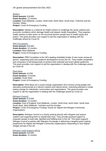UK grants announcement Oct-Dec 2021

**[Medact](http://www.medact.org/) Grant amount:** £18,660 **Grant duration:** 12 months **Location:** East Midlands**,** London, North East**,** North West, South East**,** Yorkshire and the Humber, Wales **Project:** Covid-19 Emergency Funding

**Description:** Medact is a network for health workers to challenge the social, political and economic conditions which damage health and deepen health inequalities. They organise health workers to take action on the structural barriers people face to health equity and justice. This grant provides core support to aid the organisation in dealing with the challenges posed by Covid-19.

**[PRS Foundation](http://www.prsfoundation.com/) Grant amount:** £20,000 **Grant duration:** 12 months **Location:** West Midlands **Project:** Covid-19 Emergency Funding

**Description:** PRS Foundation is the UK's leading charitable funder of new music across all genres, supporting artist and audience development across the UK. They enable songwriters and composers of all backgrounds to achieve their potential and reach global audiences. This grant provides core support to aid the organisation in dealing with the challenges posed by Covid-19.

#### **[Real Ideas](https://realideas.org/)**

**Grant amount:** £3,000 **Grant duration:** 3 months **Location:** South West **Project:** Covid-19 Emergency Funding

**Description:** Real Ideas are a social change organisation who connect young people and education professionals to a vibrant creative and cultural sector, unlocking potential to create lasting change for individuals, communities and organisations. This grant provides core support to aid the organisation in dealing with the challenges posed by Covid-19.

#### **[Refugee Council](https://www.refugeecouncil.org.uk/)**

**Grant amount:** £75,000 **Grant duration:** 12 months **Location:** East of England**,** East Midlands**,** London**,** North East**,** North West, South East**,**  South West**,** West Midlands**,** Yorkshire and the Humber **Project:** Covid-19 Emergency Funding: Grants for Afghan-led Refugee Community **Organisations** 

**Description:** Refugee Council is a charity working directly with refugees and asylum seekers and supporting them to rebuild their lives. They provide practical support to empower people to lead safe, dignified and fulfilling lives in the UK. This grant supports Refugee Council to partner with Migration Exchange in delivering a targeted grant-making programme for Afghan led Refugee Community Organisations responding to new Afghan refugee arrivals in the UK.

**[Refugee Legal Support \(RLS\)](https://www.refugeelegalsupport.org/) Grant amount:** £20,000 **Grant duration:** 12 months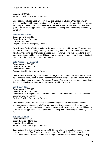**Location:** UK Wide **Project:** Covid-19 Emergency Funding

**Description:** Refugee Legal Support (RLS) are a group of UK and EU asylum lawyers acting in solidarity with refugees in Greece. They provide free legal support to those seeking sanctuary in Greece or reunification with their family members elsewhere in Europe. This grant provides core support to aid the organisation in dealing with the challenges posed by Covid-19.

#### **[Sadlers Wells Trust](https://www.sadlerswells.com/)**

**Grant amount:** £20,000 **Grant duration:** 12 months **Location:** UK Wide **Project:** Covid-19 Emergency Funding

**Description:** Sadler's Wells is a charity dedicated to dance in all its forms. With over three centuries of theatrical heritage and a year-round programme of performances and learning activities, they bring together artists to create dance, and welcome audiences to take part, learn, experiment and be inspired. This grant provides core support to aid the organisation in dealing with the challenges posed by Covid-19.

#### **[Safe Passage International](https://www.safepassage.org.uk/)**

**Grant amount:** £20,000 **Grant duration:** 6 months **Location:** UK Wide **Project:** Covid-19 Emergency Funding

**Description:** Safe Passage International campaign for and support child refugees to access legal routes to safety. They support unaccompanied child refugees all over Europe with an established presence in London, France and Greece. This grant provides core support to aid the organisation in dealing with the challenges posed by Covid-19.

#### **[South East Dance](http://southeastdance.org.uk/)**

**Grant amount:** £20,000 **Grant duration:** 12 months **Location:** East of England, East Midlands, London, North West, South East, South West, Yorkshire and the Humber **Project:** Covid-19 Emergency Funding

**Description:** South East Dance is a regional arts organisation who create dance and choreography experiences for all. They promote and develop dance in all its forms, from community classes to commissioning and presenting work by world-class artists. This grant provides core support to aid the organisation in dealing with the challenges posed by Covid-19.

#### **[The Baca Charity](http://www.bacacharity.org.uk/)**

**Grant amount:** £20,000 **Grant duration:** 24 months **Location:** East Midlands **Project:** Covid-19 Emergency Funding

**Description:** The Baca Charity work with 16-19-year-old asylum seekers, some of whom have been victims of trafficking, and are separated from their families. They provide specialist supported accommodation and a range of holistic development training to help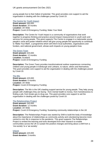young people live to their fullest of potential. This grant provides core support to aid the organisation in dealing with the challenges posed by Covid-19.

#### **[The Centre for Youth Impact](http://www.youthimpact.uk/)**

**Grant amount:** £60,000 **Grant duration:** 20 months **Location:** UK Wide **Project:** Covid-19 Emergency Funding: Make Your Mark

**Description:** The Centre for Youth Impact is a community of organisations that work together to progress thinking and practice around impact measurement in youth work and services for young people. This grant supports The Centre to engage in a nationwide young people's voice and power initiative which will give young people the opportunity to contribute to 'Make Your Mark', a programme which will inform local authorities, organisations and funders, and national government, whose work impacts on young people's lives.

#### **[The Green Team](http://www.greenteam.org.uk/)**

**Grant amount:** £20,000 **Grant duration:** 12 months **Location:** Scotland **Project:** Covid-19 Emergency Funding

**Description:** The Green Team provides transformational outdoor experiences connecting children and young people in Edinburgh and Lothians, to nature, others and themselves. This grant provides core support to aid the organisation in dealing with the challenges posed by Covid-19.

#### **[The Mix](http://www.themix.org.uk/)**

**Grant amount:** £20,000 **Grant duration:** 6 months **Location:** UK Wide **Project:** Covid-19 Emergency Funding

**Description:** The Mix is the UK's leading support service for young people. They help young people with challenges they are facing - from mental health to money, from homelessness to finding a job, from break-ups to drug use. This grant provides core support to aid the organisation in dealing with the challenges posed by Covid-19.

#### **[The Relationships Project](http://www.relationshipsproject.org/)**

**Grant amount:** £40,000 **Grant duration:** 12 months **Location:** UK Wide **Project:** Covid-19 Emergency Funding: Sustaining community relationships in the UK

**Description:** The Relationships Project was started by Shift to build the body of knowledge about the importance of relationships as community activity and volunteering become more central to civic life in response to the pandemic. This grant supports The Relationships Project to embed the learning and tools developed from their research to enable communities across the UK to sustain the positive changes and bring about a shift from a 'me society' to a 'we society'.

**[Unjust](https://twitter.com/unjustuk) Grant amount:** £20,000 **Grant duration:** 3 months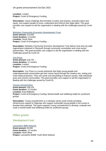**Location:** London **Project:** Covid-19 Emergency Funding

**Description:** Unjust challenge discrimination in policy and practice, promote justice and equity, and support people to know, understand and enforce their legal rights. This grant provides core support to aid the organisation in dealing with the challenges posed by Covid-19.

#### **[Wolseley Community Economic Development Trust](http://wolseley-trust.org/)**

**Grant amount:** £10,000 **Grant duration:** 3 months **Location:** South West **Project:** Covid-19 Emergency Funding

**Description:** Wolseley Community Economic Development Trust deliver local and city-wide regeneration initiatives in Plymouth through community consultation and cross-sector partnerships. This grant provides core support to aid the organisation in dealing with the challenges posed by Covid-19.

#### **[You Press](http://www.youpress.org.uk/)**

**Grant amount:** £18,720 **Grant duration:** 12 months **Location:** London **Project:** Covid-19 Emergency Funding

**Description:** You Press is a social enterprise that helps young people and underrepresented communities get their voices heard through the creative arts, writing and multi-media production. They use words and storytelling to improve society, help individuals grow and connect communities. This grant provides core support to aid the organisation in dealing with the challenges posed by Covid-19.

#### **[Young Leicestershire](https://youngleicestershire.org.uk/)**

**Grant amount:** £38,125 **Grant duration:** 12 months **Location:** East Midlands **Project:** Covid-19 Emergency Funding: Mental health and wellbeing toolkit for youthwork groups

**Description:** Young Leicestershire is a voluntary sector youth charity providing infrastructure support to 30groups who support vulnerable young people in the county to develop their potential. This grant supports Young Leicestershire to develop, evaluate and scale a mental health and wellbeing toolkit for youthwork groups.

# Other grants

## Development Fund

**[Lancashire BME Network](http://www.lancashirebmenetwork.org.uk/) Grant amount:** £5,000 **Grant duration:** 12 months **Location:** North West **Project:** Lancashire BAME Youth Work Network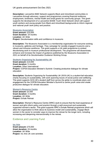**Description:** Lancashire BME Network supports Black and minoritised communities in Lancashire through advocacy, support and programmes covering financial resilience, employment, loneliness, mental health and small grants for community groups. This grant supports the development of a Lancashire BAME Youth Work Network which will support youth workers and young people from Black and minoritised backgrounds to inform regional and national youth work policy and practice.

#### **[Museums Association](http://museumsassociation.org/)**

**Grant amount:** £20,000 **Grant duration:** 18 months **Location:** UK Wide **Project:** Decolonisation skills and confidence in museums

**Description:** The Museums Association is a membership organisation for everyone working in museums, galleries and heritage. They campaign for socially engaged museums and a vibrant and inclusive workforce. This grant supports a UK-wide programme to embed decolonising work in museum professional development. The programme will disseminate, enhance and increase the impact of guidance published by the Museums Association in 2021 on behalf of its Decolonisation Guidance Working Group.

#### **[Students Organising for Sustainability UK](http://www.sos-uk.org/)**

**Grant amount:** £10,000 **Grant duration:** 5 months **Location:** Other International **Project:** COP26 Education Minister's Summit: Creating productive dialogue for climate education

**Description:** Students Organising for Sustainability UK (SOS-UK) is a student-led education charity focusing on sustainability, with work spanning issues of social justice and wellbeing. This grant supports SOS-UK's student staff from across the globe to coordinate plans and engagement for the COP26 Education Minister's Summit to centre youth voice and create productive dialogue for climate education.

#### **[Women's Resource Centre](http://www.wrc.org.uk/)**

**Grant amount:** £4,500 **Grant duration:** 3 months **Location:** UK Wide **Project:** Exhale Retreat

**Description:** Women's Resource Centre (WRC) work to ensure that the lived experience of women and girls inform policy and practice through a well-resourced and sustainably supported women's sector. This grant supports WRC's Exhale Retreat programme which will allow the organisation to think about its business model and sustainability, engage Black women in the sector to consider ways to improve the retreat for the longer term, including increasing and deepening intersectionality in the retreat.

## Evidence and Learning Fund

**[Inc Arts](http://incarts.uk/) Grant amount:** £70,000 **Grant duration:** 24 months **Location:** UK Wide **Project:** Inc Arts UK core activities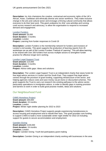**Description:** Inc Arts champions the creative, contractual and economic rights of the UK's African, Asian, Caribbean and ethnically diverse arts sector workforce. They make inclusive change in the arts and cultural sector and envisage a thriving cultural community that allows everyone to do their best work. This grant underpins Inc Arts' core activities and running costs across research and advocacy, to allow the organisation to respond to increased demand and engagement.

#### **[London Funders](http://www.londonfunders.org.uk/)**

**Grant amount:** £6,000 **Grant duration:** 3 months **Location:** London **Project:** Learning from funder responses to Covid-19

**Description:** London Funders is the membership network for funders and investors of London's civil society. This grant supports the production of learning reports from 45 workshops ran as part of the London Funders 'Festival of Learning'. This will allow learning to be shared with over 200 funders from across multiple sectors to strengthen funder practice for effective longer-term working.

#### **[London Legal Support Trust](http://www.londonlegalsupporttrust.org.uk/)**

**Grant amount:** £10,000 **Grant duration:** 3 months **Location:** London **Project:** Advice skills gaps: Ideas and solutions

**Description:** The London Legal Support Trust is an independent charity that raises funds for free legal advice services in London and the South East. They support free legal advice centres through the provision of grant funding, supporting infrastructure of the sector, and helping agencies reduce costs and save money via pro bono or discounted schemes. This grant supports the Trust to carry out research into existing pathways to the advice sector, particularly specialisms in immigration advice, in order to identify gaps in training provision and barriers to work in order to build good practise models, ideas and solutions.

## Our Neighbourhood Fund

**[C4WS Homeless Project](http://www.c4wshomelessproject.org/) Grant amount:** £60,000 **Grant duration:** 24 months **Location:** London **Project:** Winter night shelter planning for 2022 to 2023

**Description:** C4WS Homeless Project supports people experiencing homelessness to access housing and employment and to rebuild their lives. This grant provides core funding to support C4WS to build a more sustainable winter night shelter for 2022-23 including support for guests to secure accommodation and employment.

#### **[Camden Giving](http://www.camdengiving.org.uk/)**

**Grant amount:** £100,000 **Grant duration:** 24 months **Location:** London **Project:** Camden Giving: Youth-led participatory grant-making

**Description:** Camden Giving is an independent charity working with businesses in the area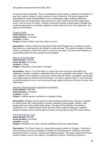to overcome local inequality. They run participatory grant-making, enabling local residents to give time, skills or money to inform services in their community. This grant supports the organisation's Future Change Makers Fund, a participatory grant-making programme through which 16–25-year-olds make decisions on which youth services the organisation funds. Over the next 24 months, Camden Giving will increase its grant spend, develop new youth-led approaches to reporting, integrate a racial justice focus into the programme, and improve its evaluation.

#### **[Coram's Fields](http://www.coramsfields.org/)**

**Grant amount:** £39,336 **Grant duration:** 17 months **Location:** London **Project:** Coram's Fields under-fives drop-in service

**Description:** Coram's Fields and Harmsworth Memorial Playground is a children's charity that serves as a safe place for all children to come and play. This grant will support Coram's Fields in providing an under fives drop-in service for one year in an area where families are faced with poverty and overcrowded accommodation.

#### **[Help on Your Doorstep](http://www.helponyourdoorstep.com/)**

**Grant amount:** £40,000 **Grant duration:** 24 months **Location:** London **Project:** Supporting communities in Islington

**Description:** Help on Your Doorstep is a charity that aims to improve the health and wellbeing of people in Islington, especially those who are vulnerable and isolated. They work with residents to find solutions to the issues which make life difficult, strengthen communities and enable people to improve their life chances. This grant supports Help on Your Doorstep to identify people who are at risk and provide early support to prevent the need for later crisis intervention.

#### **[Islington Giving through Cripplegate Foundation](https://islingtongiving.org.uk/)**

**Grant amount:** £100,000 **Grant duration:** 24 months **Location:** London **Project:** Coalition partner contribution to Islington Giving

**Description:** Islington Giving supports projects helping people living in poverty in Islington by raising funds and making grants to groups supporting young people, families, older people and those with mental health issues. This grant is Paul Hamlyn Foundation's contribution as a coalition partner which will help create a larger funding pot, enabling Islington Giving to work in partnership and reach more groups through their grant-making.

#### **[The Parent House Trust](http://theparenthouse.org.uk/)**

**Grant amount:** £40,000 **Grant duration:** 24 months **Location:** London **Project:** Strengthen core skills, improve wellbeing and access opportunities

**Description:** The Parent House is a charity that supports parents in Islington. They aim to reduce poverty and social inequality for families by building parents' confidence and skills through provision of courses, training and wellbeing support. This grant supports the Parent House to deliver one-on-one support, consultations and peer mentoring to parents in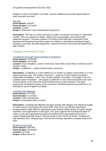Islington in order to strengthen core skills, improve wellbeing and provide opportunities to enter education and work.

**[The Peel](https://www.peelinstitute.org.uk/) Grant amount:** £40,000 **Grant duration:** 24 months **Location:** London **Project:** Clerkenwell Youth Development Programme

**Description:** The Peel is a charity that aims to build a connected community in Clerkenwell, London. They run activities for adults, children and young people, and mental health awareness projects. This grant supports The Peel as they build their Clerkenwell Youth Development Programme providing support for children in educational transitional stages through a youth club, life-skills programme, cultural enrichment, and career development for older children.

# Strategic Interventions Fund

**[LocalMotion \(through Esmée Fairbairn Foundation\)](https://esmeefairbairn.org.uk/)**

**Grant amount:** £1,000,000 **Grant duration:** 24 months **Location:** East of England, London**,** North East**,** North West**,** South West**,** Yorkshire and the Humber**,** Wales **Project:** LocalMotion – a place-based funders consortium

**Description:** LocalMotion is a joint initiative by six funders to support communities in a more radical, joined-up way. The funders consortium – made up of Paul Hamlyn Foundation, Lloyds Bank Foundation, Tudor Trust, Esmée Fairbairn Foundation, City Bridge Trust and Lankelly Chase Foundation – will support LocalMotion to work with local partners who want to find solutions to the social and environmental issues on their doorstep. This grant supports the development phase of the consortium, identifying partners and priorities in six local places across England and Wales.

#### **[L'Auberge des Migrants](https://www.laubergedesmigrants.fr/)**

**Grant amount:** £270,000 **Grant duration:** 12 months **Location:** Other International **Project:** Humanitarian Base of Calais

**Description:** L'Auberge des Migrants has been working with refugees and displaced people in Calais and the surrounding area since 2008. They act as an umbrella organisation, bringing together eight different organisations and working collaboratively to support people, volunteers and organisations in the region. This grant supports the Humanitarian Base of Calais, an an inter-organisational project developed by five organisations that work to support displaced people living in informal camps on the France-UK border. Funding will help distribute tents, sleeping bags, firewood and cooking ingredients to people living at the base.

#### **[UK Democracy Fund](https://www.jrrt.org.uk/what-we-do/the-uk-democracy-fund/)**

**Grant amount:** £300,000 **Grant duration:** 36 months **Location:** UK wide **Project:** Millions More 24